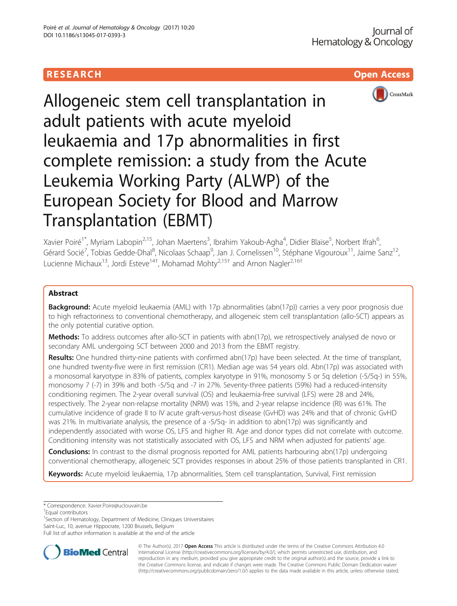# **RESEARCH CHILD CONTROL** CONTROL CONTROL CONTROL CONTROL CONTROL CONTROL CONTROL CONTROL CONTROL CONTROL CONTROL



Allogeneic stem cell transplantation in adult patients with acute myeloid leukaemia and 17p abnormalities in first complete remission: a study from the Acute Leukemia Working Party (ALWP) of the European Society for Blood and Marrow Transplantation (EBMT)

Xavier Poiré<sup>1\*</sup>, Myriam Labopin<sup>2,15</sup>, Johan Maertens<sup>3</sup>, Ibrahim Yakoub-Agha<sup>4</sup>, Didier Blaise<sup>5</sup>, Norbert Ifrah<sup>6</sup> י<br>, Gérard Socié<sup>7</sup>, Tobias Gedde-Dhal<sup>8</sup>, Nicolaas Schaap<sup>9</sup>, Jan J. Cornelissen<sup>10</sup>, Stéphane Vigouroux<sup>11</sup>, Jaime Sanz<sup>12</sup>, Lucienne Michaux<sup>13</sup>, Jordi Esteve<sup>14†</sup>, Mohamad Mohty<sup>2,15†</sup> and Arnon Nagler<sup>2,16†</sup>

# Abstract

**Background:** Acute myeloid leukaemia (AML) with 17p abnormalities (abn(17p)) carries a very poor prognosis due to high refractoriness to conventional chemotherapy, and allogeneic stem cell transplantation (allo-SCT) appears as the only potential curative option.

Methods: To address outcomes after allo-SCT in patients with abn(17p), we retrospectively analysed de novo or secondary AML undergoing SCT between 2000 and 2013 from the EBMT registry.

Results: One hundred thirty-nine patients with confirmed abn(17p) have been selected. At the time of transplant, one hundred twenty-five were in first remission (CR1). Median age was 54 years old. Abn(17p) was associated with a monosomal karyotype in 83% of patients, complex karyotype in 91%, monosomy 5 or 5q deletion (-5/5q-) in 55%, monosomy 7 (-7) in 39% and both -5/5q and -7 in 27%. Seventy-three patients (59%) had a reduced-intensity conditioning regimen. The 2-year overall survival (OS) and leukaemia-free survival (LFS) were 28 and 24%, respectively. The 2-year non-relapse mortality (NRM) was 15%, and 2-year relapse incidence (RI) was 61%. The cumulative incidence of grade II to IV acute graft-versus-host disease (GvHD) was 24% and that of chronic GvHD was 21%. In multivariate analysis, the presence of a -5/5q- in addition to abn(17p) was significantly and independently associated with worse OS, LFS and higher RI. Age and donor types did not correlate with outcome. Conditioning intensity was not statistically associated with OS, LFS and NRM when adjusted for patients' age.

**Conclusions:** In contrast to the dismal prognosis reported for AML patients harbouring abn(17p) undergoing conventional chemotherapy, allogeneic SCT provides responses in about 25% of those patients transplanted in CR1.

Keywords: Acute myeloid leukaemia, 17p abnormalities, Stem cell transplantation, Survival, First remission

\* Correspondence: [Xavier.Poire@uclouvain.be](mailto:Xavier.Poire@uclouvain.be) †

Equal contributors

<sup>1</sup>Section of Hematology, Department of Medicine, Cliniques Universitaires

Saint-Luc, 10, avenue Hippocrate, 1200 Brussels, Belgium

Full list of author information is available at the end of the article



© The Author(s). 2017 **Open Access** This article is distributed under the terms of the Creative Commons Attribution 4.0 International License [\(http://creativecommons.org/licenses/by/4.0/](http://creativecommons.org/licenses/by/4.0/)), which permits unrestricted use, distribution, and reproduction in any medium, provided you give appropriate credit to the original author(s) and the source, provide a link to the Creative Commons license, and indicate if changes were made. The Creative Commons Public Domain Dedication waiver [\(http://creativecommons.org/publicdomain/zero/1.0/](http://creativecommons.org/publicdomain/zero/1.0/)) applies to the data made available in this article, unless otherwise stated.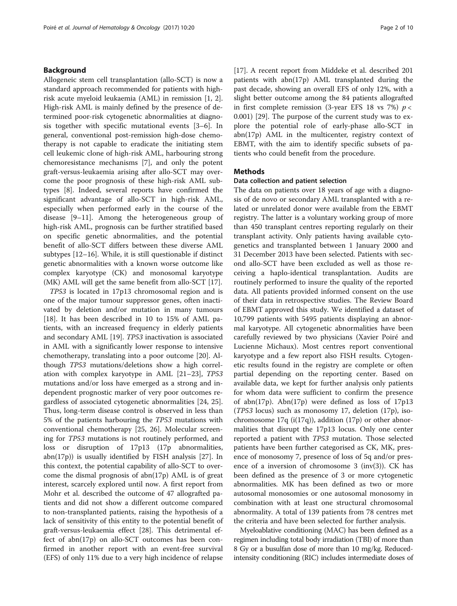# Background

Allogeneic stem cell transplantation (allo-SCT) is now a standard approach recommended for patients with highrisk acute myeloid leukaemia (AML) in remission [[1, 2](#page-8-0)]. High-risk AML is mainly defined by the presence of determined poor-risk cytogenetic abnormalities at diagnosis together with specific mutational events [\[3](#page-8-0)–[6](#page-8-0)]. In general, conventional post-remission high-dose chemotherapy is not capable to eradicate the initiating stem cell leukemic clone of high-risk AML, harbouring strong chemoresistance mechanisms [[7\]](#page-8-0), and only the potent graft-versus-leukaemia arising after allo-SCT may overcome the poor prognosis of these high-risk AML subtypes [\[8](#page-8-0)]. Indeed, several reports have confirmed the significant advantage of allo-SCT in high-risk AML, especially when performed early in the course of the disease [\[9](#page-8-0)–[11](#page-8-0)]. Among the heterogeneous group of high-risk AML, prognosis can be further stratified based on specific genetic abnormalities, and the potential benefit of allo-SCT differs between these diverse AML subtypes [[12](#page-8-0)–[16\]](#page-8-0). While, it is still questionable if distinct genetic abnormalities with a known worse outcome like complex karyotype (CK) and monosomal karyotype (MK) AML will get the same benefit from allo-SCT [[17](#page-8-0)].

TP53 is located in 17p13 chromosomal region and is one of the major tumour suppressor genes, often inactivated by deletion and/or mutation in many tumours [[18\]](#page-8-0). It has been described in 10 to 15% of AML patients, with an increased frequency in elderly patients and secondary AML [[19](#page-8-0)]. TP53 inactivation is associated in AML with a significantly lower response to intensive chemotherapy, translating into a poor outcome [[20\]](#page-8-0). Although TP53 mutations/deletions show a high correlation with complex karyotype in AML [[21](#page-8-0)–[23](#page-8-0)], TP53 mutations and/or loss have emerged as a strong and independent prognostic marker of very poor outcomes regardless of associated cytogenetic abnormalities [\[24, 25](#page-8-0)]. Thus, long-term disease control is observed in less than 5% of the patients harbouring the TP53 mutations with conventional chemotherapy [\[25, 26](#page-8-0)]. Molecular screening for TP53 mutations is not routinely performed, and loss or disruption of 17p13 (17p abnormalities, abn(17p)) is usually identified by FISH analysis [[27](#page-8-0)]. In this context, the potential capability of allo-SCT to overcome the dismal prognosis of abn(17p) AML is of great interest, scarcely explored until now. A first report from Mohr et al. described the outcome of 47 allografted patients and did not show a different outcome compared to non-transplanted patients, raising the hypothesis of a lack of sensitivity of this entity to the potential benefit of graft-versus-leukaemia effect [\[28](#page-8-0)]. This detrimental effect of abn(17p) on allo-SCT outcomes has been confirmed in another report with an event-free survival (EFS) of only 11% due to a very high incidence of relapse

[[17\]](#page-8-0). A recent report from Middeke et al. described 201 patients with abn(17p) AML transplanted during the past decade, showing an overall EFS of only 12%, with a slight better outcome among the 84 patients allografted in first complete remission (3-year EFS 18 vs 7%)  $p <$ 0.001) [\[29\]](#page-8-0). The purpose of the current study was to explore the potential role of early-phase allo-SCT in abn(17p) AML in the multicenter, registry context of EBMT, with the aim to identify specific subsets of patients who could benefit from the procedure.

# **Methods**

# Data collection and patient selection

The data on patients over 18 years of age with a diagnosis of de novo or secondary AML transplanted with a related or unrelated donor were available from the EBMT registry. The latter is a voluntary working group of more than 450 transplant centres reporting regularly on their transplant activity. Only patients having available cytogenetics and transplanted between 1 January 2000 and 31 December 2013 have been selected. Patients with second allo-SCT have been excluded as well as those receiving a haplo-identical transplantation. Audits are routinely performed to insure the quality of the reported data. All patients provided informed consent on the use of their data in retrospective studies. The Review Board of EBMT approved this study. We identified a dataset of 10,799 patients with 5495 patients displaying an abnormal karyotype. All cytogenetic abnormalities have been carefully reviewed by two physicians (Xavier Poiré and Lucienne Michaux). Most centres report conventional karyotype and a few report also FISH results. Cytogenetic results found in the registry are complete or often partial depending on the reporting center. Based on available data, we kept for further analysis only patients for whom data were sufficient to confirm the presence of abn(17p). Abn(17p) were defined as loss of 17p13 (TP53 locus) such as monosomy 17, deletion (17p), isochromosome  $17q$  (i(17q)), addition (17p) or other abnormalities that disrupt the 17p13 locus. Only one center reported a patient with TP53 mutation. Those selected patients have been further categorised as CK, MK, presence of monosomy 7, presence of loss of 5q and/or presence of a inversion of chromosome 3 (inv(3)). CK has been defined as the presence of 3 or more cytogenetic abnormalities. MK has been defined as two or more autosomal monosomies or one autosomal monosomy in combination with at least one structural chromosomal abnormality. A total of 139 patients from 78 centres met the criteria and have been selected for further analysis.

Myeloablative conditioning (MAC) has been defined as a regimen including total body irradiation (TBI) of more than 8 Gy or a busulfan dose of more than 10 mg/kg. Reducedintensity conditioning (RIC) includes intermediate doses of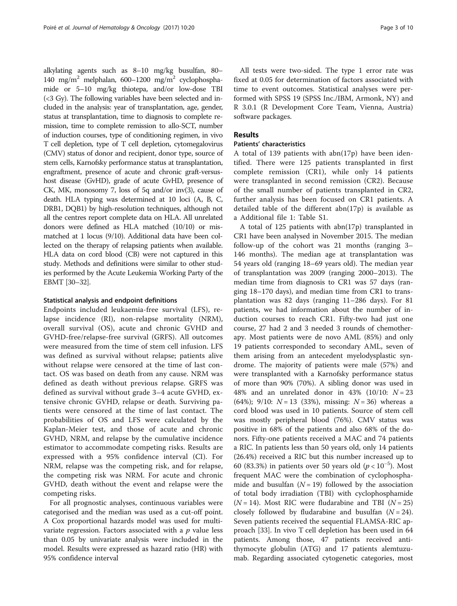alkylating agents such as 8–10 mg/kg busulfan, 80– 140 mg/m<sup>2</sup> melphalan, 600–1200 mg/m<sup>2</sup> cyclophosphamide or 5–10 mg/kg thiotepa, and/or low-dose TBI (<3 Gy). The following variables have been selected and included in the analysis: year of transplantation, age, gender, status at transplantation, time to diagnosis to complete remission, time to complete remission to allo-SCT, number of induction courses, type of conditioning regimen, in vivo T cell depletion, type of T cell depletion, cytomegalovirus (CMV) status of donor and recipient, donor type, source of stem cells, Karnofsky performance status at transplantation, engraftment, presence of acute and chronic graft-versushost disease (GvHD), grade of acute GvHD, presence of CK, MK, monosomy 7, loss of 5q and/or inv(3), cause of death. HLA typing was determined at 10 loci (A, B, C, DRB1, DQB1) by high-resolution techniques, although not all the centres report complete data on HLA. All unrelated donors were defined as HLA matched (10/10) or mismatched at 1 locus (9/10). Additional data have been collected on the therapy of relapsing patients when available. HLA data on cord blood (CB) were not captured in this study. Methods and definitions were similar to other studies performed by the Acute Leukemia Working Party of the EBMT [[30](#page-8-0)–[32](#page-8-0)].

### Statistical analysis and endpoint definitions

Endpoints included leukaemia-free survival (LFS), relapse incidence (RI), non-relapse mortality (NRM), overall survival (OS), acute and chronic GVHD and GVHD-free/relapse-free survival (GRFS). All outcomes were measured from the time of stem cell infusion. LFS was defined as survival without relapse; patients alive without relapse were censored at the time of last contact. OS was based on death from any cause. NRM was defined as death without previous relapse. GRFS was defined as survival without grade 3–4 acute GVHD, extensive chronic GVHD, relapse or death. Surviving patients were censored at the time of last contact. The probabilities of OS and LFS were calculated by the Kaplan-Meier test, and those of acute and chronic GVHD, NRM, and relapse by the cumulative incidence estimator to accommodate competing risks. Results are expressed with a 95% confidence interval (CI). For NRM, relapse was the competing risk, and for relapse, the competing risk was NRM. For acute and chronic GVHD, death without the event and relapse were the competing risks.

For all prognostic analyses, continuous variables were categorised and the median was used as a cut-off point. A Cox proportional hazards model was used for multivariate regression. Factors associated with a  $p$  value less than 0.05 by univariate analysis were included in the model. Results were expressed as hazard ratio (HR) with 95% confidence interval

All tests were two-sided. The type 1 error rate was fixed at 0.05 for determination of factors associated with time to event outcomes. Statistical analyses were performed with SPSS 19 (SPSS Inc./IBM, Armonk, NY) and R 3.0.1 (R Development Core Team, Vienna, Austria) software packages.

# Results

# Patients' characteristics

A total of 139 patients with abn(17p) have been identified. There were 125 patients transplanted in first complete remission (CR1), while only 14 patients were transplanted in second remission (CR2). Because of the small number of patients transplanted in CR2, further analysis has been focused on CR1 patients. A detailed table of the different abn(17p) is available as a Additional file [1:](#page-7-0) Table S1.

A total of 125 patients with abn(17p) transplanted in CR1 have been analysed in November 2015. The median follow-up of the cohort was 21 months (ranging 3– 146 months). The median age at transplantation was 54 years old (ranging 18–69 years old). The median year of transplantation was 2009 (ranging 2000–2013). The median time from diagnosis to CR1 was 57 days (ranging 18–170 days), and median time from CR1 to transplantation was 82 days (ranging 11–286 days). For 81 patients, we had information about the number of induction courses to reach CR1. Fifty-two had just one course, 27 had 2 and 3 needed 3 rounds of chemotherapy. Most patients were de novo AML (85%) and only 19 patients corresponded to secondary AML, seven of them arising from an antecedent myelodysplastic syndrome. The majority of patients were male (57%) and were transplanted with a Karnofsky performance status of more than 90% (70%). A sibling donor was used in 48% and an unrelated donor in 43% (10/10:  $N = 23$ (64%); 9/10:  $N = 13$  (33%), missing:  $N = 36$ ) whereas a cord blood was used in 10 patients. Source of stem cell was mostly peripheral blood (76%). CMV status was positive in 68% of the patients and also 68% of the donors. Fifty-one patients received a MAC and 74 patients a RIC. In patients less than 50 years old, only 14 patients (26.4%) received a RIC but this number increased up to 60 (83.3%) in patients over 50 years old  $(p < 10^{-5})$ . Most frequent MAC were the combination of cyclophosphamide and busulfan  $(N = 19)$  followed by the association of total body irradiation (TBI) with cyclophosphamide  $(N = 14)$ . Most RIC were fludarabine and TBI  $(N = 25)$ closely followed by fludarabine and busulfan  $(N = 24)$ . Seven patients received the sequential FLAMSA-RIC approach [\[33\]](#page-8-0). In vivo T cell depletion has been used in 64 patients. Among those, 47 patients received antithymocyte globulin (ATG) and 17 patients alemtuzumab. Regarding associated cytogenetic categories, most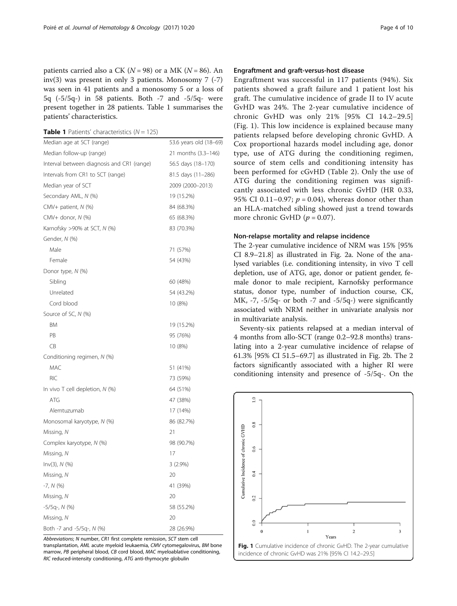patients carried also a CK ( $N = 98$ ) or a MK ( $N = 86$ ). An inv(3) was present in only 3 patients. Monosomy  $7$  (-7) was seen in 41 patients and a monosomy 5 or a loss of 5q (-5/5q-) in 58 patients. Both -7 and -5/5q- were present together in 28 patients. Table 1 summarises the patients' characteristics.

**Table 1** Patients' characteristics  $(N = 125)$ 

| Median age at SCT (range)                  | 53.6 years old (18-69) |  |  |
|--------------------------------------------|------------------------|--|--|
| Median follow-up (range)                   | 21 months (3.3-146)    |  |  |
| Interval between diagnosis and CR1 (range) | 56.5 days (18-170)     |  |  |
| Intervals from CR1 to SCT (range)          | 81.5 days (11-286)     |  |  |
| Median year of SCT                         | 2009 (2000–2013)       |  |  |
| Secondary AML, N (%)                       | 19 (15.2%)             |  |  |
| CMV+ patient, N (%)                        | 84 (68.3%)             |  |  |
| CMV+ donor, N (%)                          | 65 (68.3%)             |  |  |
| Karnofsky >90% at SCT, N (%)               | 83 (70.3%)             |  |  |
| Gender, N (%)                              |                        |  |  |
| Male                                       | 71 (57%)               |  |  |
| Female                                     | 54 (43%)               |  |  |
| Donor type, N (%)                          |                        |  |  |
| Sibling                                    | 60 (48%)               |  |  |
| Unrelated                                  | 54 (43.2%)             |  |  |
| Cord blood                                 | 10 (8%)                |  |  |
| Source of SC, N (%)                        |                        |  |  |
| <b>BM</b>                                  | 19 (15.2%)             |  |  |
| PB                                         | 95 (76%)               |  |  |
| CB                                         | 10 (8%)                |  |  |
| Conditioning regimen, N (%)                |                        |  |  |
| <b>MAC</b>                                 | 51 (41%)               |  |  |
| <b>RIC</b>                                 | 73 (59%)               |  |  |
| In vivo T cell depletion, N (%)            | 64 (51%)               |  |  |
| <b>ATG</b>                                 | 47 (38%)               |  |  |
| Alemtuzumab                                | 17 (14%)               |  |  |
| Monosomal karyotype, N (%)                 | 86 (82.7%)             |  |  |
| Missing, N                                 | 21                     |  |  |
| Complex karyotype, N (%)                   | 98 (90.7%)             |  |  |
| Missing, N                                 | 17                     |  |  |
| Inv(3), N (%)                              | $3(2.9\%)$             |  |  |
| Missing, N                                 | 20                     |  |  |
| $-7, N (%)$                                | 41 (39%)               |  |  |
| Missing, N                                 | 20                     |  |  |
| $-5/5q$ , $N$ (%)                          | 58 (55.2%)             |  |  |
| Missing, N                                 | 20                     |  |  |
| Both -7 and -5/5q-, N (%)                  | 28 (26.9%)             |  |  |

Abbreviations; N number, CR1 first complete remission, SCT stem cell transplantation, AML acute myeloid leukaemia, CMV cytomegalovirus, BM bone marrow, PB peripheral blood, CB cord blood, MAC myeloablative conditioning. RIC reduced-intensity conditioning, ATG anti-thymocyte globulin

# Engraftment and graft-versus-host disease

Engraftment was successful in 117 patients (94%). Six patients showed a graft failure and 1 patient lost his graft. The cumulative incidence of grade II to IV acute GvHD was 24%. The 2-year cumulative incidence of chronic GvHD was only 21% [95% CI 14.2–29.5] (Fig. 1). This low incidence is explained because many patients relapsed before developing chronic GvHD. A Cox proportional hazards model including age, donor type, use of ATG during the conditioning regimen, source of stem cells and conditioning intensity has been performed for cGvHD (Table [2](#page-4-0)). Only the use of ATG during the conditioning regimen was significantly associated with less chronic GvHD (HR 0.33, 95% CI 0.11–0.97;  $p = 0.04$ ), whereas donor other than an HLA-matched sibling showed just a trend towards more chronic GvHD  $(p = 0.07)$ .

## Non-relapse mortality and relapse incidence

The 2-year cumulative incidence of NRM was 15% [95% CI 8.9–21.8] as illustrated in Fig. [2a.](#page-4-0) None of the analysed variables (i.e. conditioning intensity, in vivo T cell depletion, use of ATG, age, donor or patient gender, female donor to male recipient, Karnofsky performance status, donor type, number of induction course, CK, MK,  $-7$ ,  $-5/5q$ - or both  $-7$  and  $-5/5q$ -) were significantly associated with NRM neither in univariate analysis nor in multivariate analysis.

Seventy-six patients relapsed at a median interval of 4 months from allo-SCT (range 0.2–92.8 months) translating into a 2-year cumulative incidence of relapse of 61.3% [95% CI 51.5–69.7] as illustrated in Fig. [2b.](#page-4-0) The 2 factors significantly associated with a higher RI were conditioning intensity and presence of -5/5q-. On the

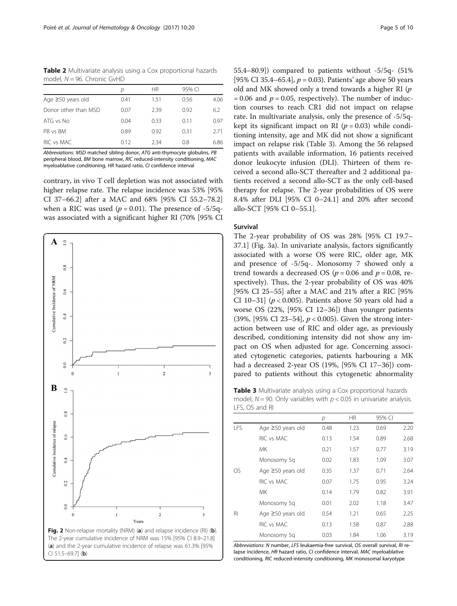<span id="page-4-0"></span>Table 2 Multivariate analysis using a Cox proportional hazards model,  $N = 96$ . Chronic GvHD

|                         | D    | <b>HR</b> | 95% CI |      |
|-------------------------|------|-----------|--------|------|
| Age $\geq 50$ years old | 0.41 | 1.51      | 0.56   | 4.06 |
| Donor other than MSD    | 0.07 | 2.39      | 0.92   | 6.2  |
| ATG vs No               | 0.04 | 0.33      | 0.11   | 0.97 |
| PB vs BM                | 0.89 | 0.92      | 0.31   | 2.71 |
| RIC vs MAC              | 0.12 | 234       | 0.8    | 6.86 |

Abbreviations: MSD matched sibling donor, ATG anti-thymocyte globulins, PB peripheral blood, BM bone marrow, RIC reduced-intensity conditioning, MAC myeloablative conditioning, HR hazard ratio, CI confidence interval

contrary, in vivo T cell depletion was not associated with higher relapse rate. The relapse incidence was 53% [95% CI 37–66.2] after a MAC and 68% [95% CI 55.2–78.2] when a RIC was used ( $p = 0.01$ ). The presence of -5/5qwas associated with a significant higher RI (70% [95% CI



55.4–80.9]) compared to patients without -5/5q- (51% [95% CI 35.4–65.4],  $p = 0.03$ ). Patients' age above 50 years old and MK showed only a trend towards a higher RI (p  $= 0.06$  and  $p = 0.05$ , respectively). The number of induction courses to reach CR1 did not impact on relapse rate. In multivariate analysis, only the presence of -5/5qkept its significant impact on RI ( $p = 0.03$ ) while conditioning intensity, age and MK did not show a significant impact on relapse risk (Table 3). Among the 56 relapsed patients with available information, 16 patients received donor leukocyte infusion (DLI). Thirteen of them received a second allo-SCT thereafter and 2 additional patients received a second allo-SCT as the only cell-based therapy for relapse. The 2-year probabilities of OS were 8.4% after DLI [95% CI 0–24.1] and 20% after second allo-SCT [95% CI 0–55.1].

# Survival

The 2-year probability of OS was 28% [95% CI 19.7– 37.1] (Fig. [3a](#page-5-0)). In univariate analysis, factors significantly associated with a worse OS were RIC, older age, MK and presence of -5/5q-. Monosomy 7 showed only a trend towards a decreased OS ( $p = 0.06$  and  $p = 0.08$ , respectively). Thus, the 2-year probability of OS was 40% [95% CI 25–55] after a MAC and 21% after a RIC [95% CI 10–31] ( $p < 0.005$ ). Patients above 50 years old had a worse OS (22%, [95% CI 12–36]) than younger patients (39%, [95% CI 23–54],  $p < 0.005$ ). Given the strong interaction between use of RIC and older age, as previously described, conditioning intensity did not show any impact on OS when adjusted for age. Concerning associated cytogenetic categories, patients harbouring a MK had a decreased 2-year OS (19%, [95% CI 17–36]) compared to patients without this cytogenetic abnormality

Table 3 Multivariate analysis using a Cox proportional hazards model,  $N = 90$ . Only variables with  $p < 0.05$  in univariate analysis. LFS, OS and RI

|      |                         | р    | <b>HR</b> | 95% CI |      |
|------|-------------------------|------|-----------|--------|------|
| l FS | Age $\geq$ 50 years old | 0.48 | 1.23      | 0.69   | 2.20 |
|      | RIC vs MAC              | 0.13 | 1.54      | 0.89   | 2.68 |
|      | МK                      | 0.21 | 1.57      | 0.77   | 3.19 |
|      | Monosomy 5q             | 0.02 | 1.83      | 1.09   | 3.07 |
| OS.  | Age ≥50 years old       | 0.35 | 1.37      | 0.71   | 2.64 |
|      | RIC vs MAC              | 0.07 | 1.75      | 0.95   | 3.24 |
|      | МK                      | 0.14 | 1.79      | 0.82   | 3.91 |
|      | Monosomy 5q             | 0.01 | 2.02      | 1.18   | 3.47 |
| RI   | Age ≥50 years old       | 0.54 | 1.21      | 0.65   | 2.25 |
|      | RIC vs MAC              | 0.13 | 1.58      | 0.87   | 2.88 |
|      | Monosomy 5q             | 0.03 | 1.84      | 1.06   | 3.19 |

Abbreviations: N number, LFS leukaemia-free survival, OS overall survival, RI relapse incidence, HR hazard ratio, CI confidence interval, MAC myeloablative conditioning, RIC reduced-intensity conditioning, MK monosomal karyotype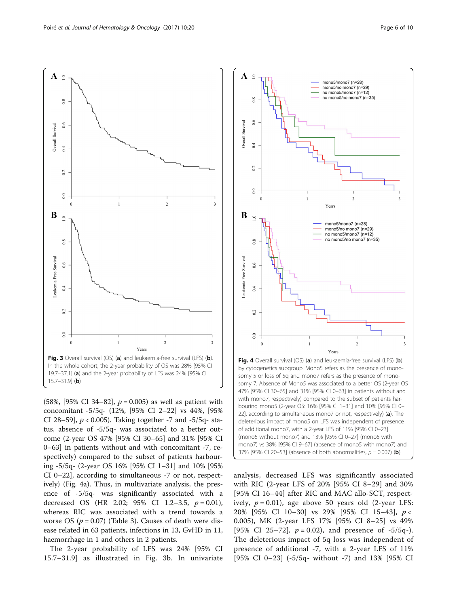<span id="page-5-0"></span>

(58%, [95% CI 34–82],  $p = 0.005$ ) as well as patient with concomitant -5/5q- (12%, [95% CI 2–22] vs 44%, [95% CI 28–59],  $p < 0.005$ ). Taking together -7 and -5/5q- status, absence of -5/5q- was associated to a better outcome (2-year OS 47% [95% CI 30–65] and 31% [95% CI 0–63] in patients without and with concomitant -7, respectively) compared to the subset of patients harbouring -5/5q- (2-year OS 16% [95% CI 1–31] and 10% [95% CI 0–22], according to simultaneous -7 or not, respectively) (Fig. 4a). Thus, in multivariate analysis, the presence of -5/5q- was significantly associated with a decreased OS (HR 2.02; 95% CI 1.2-3.5,  $p = 0.01$ ), whereas RIC was associated with a trend towards a worse OS ( $p = 0.07$ ) (Table [3\)](#page-4-0). Causes of death were disease related in 63 patients, infections in 13, GvHD in 11, haemorrhage in 1 and others in 2 patients.

The 2-year probability of LFS was 24% [95% CI 15.7–31.9] as illustrated in Fig. 3b. In univariate



analysis, decreased LFS was significantly associated with RIC (2-year LFS of 20% [95% CI 8–29] and 30% [95% CI 16–44] after RIC and MAC allo-SCT, respectively,  $p = 0.01$ ), age above 50 years old (2-year LFS: 20% [95% CI 10–30] vs 29% [95% CI 15–43], p < 0.005), MK (2-year LFS 17% [95% CI 8–25] vs 49% [95% CI 25–72],  $p = 0.02$ ), and presence of -5/5q-). The deleterious impact of 5q loss was independent of presence of additional -7, with a 2-year LFS of 11% [95% CI 0–23] (-5/5q- without -7) and 13% [95% CI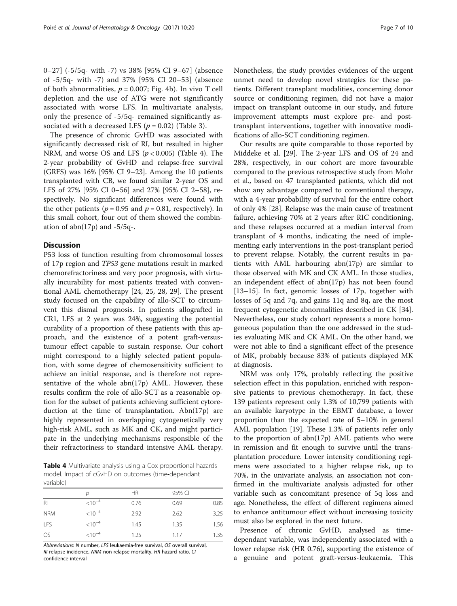0–27] (-5/5q- with -7) vs 38% [95% CI 9–67] (absence of -5/5q- with -7) and 37% [95% CI 20–53] (absence of both abnormalities,  $p = 0.007$ ; Fig. [4b](#page-5-0)). In vivo T cell depletion and the use of ATG were not significantly associated with worse LFS. In multivariate analysis, only the presence of -5/5q- remained significantly associated with a decreased LFS ( $p = 0.02$ ) (Table [3](#page-4-0)).

The presence of chronic GvHD was associated with significantly decreased risk of RI, but resulted in higher NRM, and worse OS and LFS  $(p < 0.005)$  (Table 4). The 2-year probability of GvHD and relapse-free survival (GRFS) was 16% [95% CI 9–23]. Among the 10 patients transplanted with CB, we found similar 2-year OS and LFS of 27% [95% CI 0–56] and 27% [95% CI 2–58], respectively. No significant differences were found with the other patients ( $p = 0.95$  and  $p = 0.81$ , respectively). In this small cohort, four out of them showed the combination of abn( $17p$ ) and  $-5/5q$ .

# **Discussion**

P53 loss of function resulting from chromosomal losses of 17p region and TP53 gene mutations result in marked chemorefractoriness and very poor prognosis, with virtually incurability for most patients treated with conventional AML chemotherapy [\[24](#page-8-0), [25, 28, 29](#page-8-0)]. The present study focused on the capability of allo-SCT to circumvent this dismal prognosis. In patients allografted in CR1, LFS at 2 years was 24%, suggesting the potential curability of a proportion of these patients with this approach, and the existence of a potent graft-versustumour effect capable to sustain response. Our cohort might correspond to a highly selected patient population, with some degree of chemosensitivity sufficient to achieve an initial response, and is therefore not representative of the whole  $abn(17p)$  AML. However, these results confirm the role of allo-SCT as a reasonable option for the subset of patients achieving sufficient cytoreduction at the time of transplantation. Abn(17p) are highly represented in overlapping cytogenetically very high-risk AML, such as MK and CK, and might participate in the underlying mechanisms responsible of the their refractoriness to standard intensive AML therapy.

**Table 4** Multivariate analysis using a Cox proportional hazards model. Impact of cGvHD on outcomes (time-dependant variable)

|                 | D           | HR.  | 95% CI |      |
|-----------------|-------------|------|--------|------|
| $R_{\parallel}$ | $< 10^{-4}$ | 0.76 | 0.69   | 0.85 |
| <b>NRM</b>      | $< 10^{-4}$ | 2.92 | 2.62   | 3.25 |
| LFS             | $< 10^{-4}$ | 1.45 | 1.35   | 1.56 |
| <b>OS</b>       | $< 10^{-4}$ | 1.25 | 1.17   | 1.35 |

Abbreviations: N number, LFS leukaemia-free survival, OS overall survival, RI relapse incidence, NRM non-relapse mortality, HR hazard ratio, CI confidence interval

Nonetheless, the study provides evidences of the urgent unmet need to develop novel strategies for these patients. Different transplant modalities, concerning donor source or conditioning regimen, did not have a major impact on transplant outcome in our study, and future improvement attempts must explore pre- and posttransplant interventions, together with innovative modifications of allo-SCT conditioning regimen.

Our results are quite comparable to those reported by Middeke et al. [[29\]](#page-8-0). The 2-year LFS and OS of 24 and 28%, respectively, in our cohort are more favourable compared to the previous retrospective study from Mohr et al., based on 47 transplanted patients, which did not show any advantage compared to conventional therapy, with a 4-year probability of survival for the entire cohort of only 4% [[28\]](#page-8-0). Relapse was the main cause of treatment failure, achieving 70% at 2 years after RIC conditioning, and these relapses occurred at a median interval from transplant of 4 months, indicating the need of implementing early interventions in the post-transplant period to prevent relapse. Notably, the current results in patients with AML harbouring abn(17p) are similar to those observed with MK and CK AML. In those studies, an independent effect of abn(17p) has not been found [[13](#page-8-0)–[15](#page-8-0)]. In fact, genomic losses of 17p, together with losses of 5q and 7q, and gains 11q and 8q, are the most frequent cytogenetic abnormalities described in CK [\[34](#page-9-0)]. Nevertheless, our study cohort represents a more homogeneous population than the one addressed in the studies evaluating MK and CK AML. On the other hand, we were not able to find a significant effect of the presence of MK, probably because 83% of patients displayed MK at diagnosis.

NRM was only 17%, probably reflecting the positive selection effect in this population, enriched with responsive patients to previous chemotherapy. In fact, these 139 patients represent only 1.3% of 10,799 patients with an available karyotype in the EBMT database, a lower proportion than the expected rate of 5–10% in general AML population [\[19\]](#page-8-0). These 1.3% of patients refer only to the proportion of abn(17p) AML patients who were in remission and fit enough to survive until the transplantation procedure. Lower intensity conditioning regimens were associated to a higher relapse risk, up to 70%, in the univariate analysis, an association not confirmed in the multivariate analysis adjusted for other variable such as concomitant presence of 5q loss and age. Nonetheless, the effect of different regimens aimed to enhance antitumour effect without increasing toxicity must also be explored in the next future.

Presence of chronic GvHD, analysed as timedependant variable, was independently associated with a lower relapse risk (HR 0.76), supporting the existence of a genuine and potent graft-versus-leukaemia. This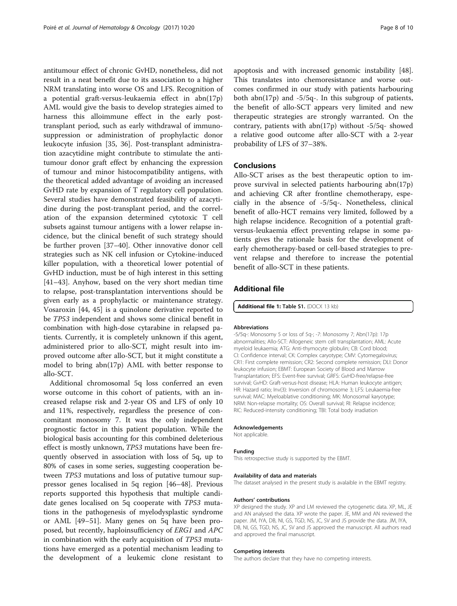<span id="page-7-0"></span>antitumour effect of chronic GvHD, nonetheless, did not result in a neat benefit due to its association to a higher NRM translating into worse OS and LFS. Recognition of a potential graft-versus-leukaemia effect in abn(17p) AML would give the basis to develop strategies aimed to harness this alloimmune effect in the early posttransplant period, such as early withdrawal of immunosuppression or administration of prophylactic donor leukocyte infusion [[35](#page-9-0), [36\]](#page-9-0). Post-transplant administration azacytidine might contribute to stimulate the antitumour donor graft effect by enhancing the expression of tumour and minor histocompatibility antigens, with the theoretical added advantage of avoiding an increased GvHD rate by expansion of T regulatory cell population. Several studies have demonstrated feasibility of azacytidine during the post-transplant period, and the correlation of the expansion determined cytotoxic T cell subsets against tumour antigens with a lower relapse incidence, but the clinical benefit of such strategy should be further proven [[37](#page-9-0)–[40](#page-9-0)]. Other innovative donor cell strategies such as NK cell infusion or Cytokine-induced killer population, with a theoretical lower potential of GvHD induction, must be of high interest in this setting [[41](#page-9-0)–[43](#page-9-0)]. Anyhow, based on the very short median time to relapse, post-transplantation interventions should be given early as a prophylactic or maintenance strategy. Vosaroxin [\[44](#page-9-0), [45\]](#page-9-0) is a quinolone derivative reported to be TP53 independent and shows some clinical benefit in combination with high-dose cytarabine in relapsed patients. Currently, it is completely unknown if this agent, administered prior to allo-SCT, might result into improved outcome after allo-SCT, but it might constitute a model to bring abn(17p) AML with better response to allo-SCT.

Additional chromosomal 5q loss conferred an even worse outcome in this cohort of patients, with an increased relapse risk and 2-year OS and LFS of only 10 and 11%, respectively, regardless the presence of concomitant monosomy 7. It was the only independent prognostic factor in this patient population. While the biological basis accounting for this combined deleterious effect is mostly unknown, TP53 mutations have been frequently observed in association with loss of 5q, up to 80% of cases in some series, suggesting cooperation between TP53 mutations and loss of putative tumour suppressor genes localised in 5q region [[46](#page-9-0)–[48](#page-9-0)]. Previous reports supported this hypothesis that multiple candidate genes localised on 5q cooperate with TP53 mutations in the pathogenesis of myelodysplastic syndrome or AML [[49](#page-9-0)–[51](#page-9-0)]. Many genes on 5q have been proposed, but recently, haploinsufficiency of ERG1 and APC in combination with the early acquisition of TP53 mutations have emerged as a potential mechanism leading to the development of a leukemic clone resistant to apoptosis and with increased genomic instability [\[48](#page-9-0)]. This translates into chemoresistance and worse outcomes confirmed in our study with patients harbouring both abn(17p) and -5/5q-. In this subgroup of patients, the benefit of allo-SCT appears very limited and new therapeutic strategies are strongly warranted. On the contrary, patients with abn(17p) without -5/5q- showed a relative good outcome after allo-SCT with a 2-year probability of LFS of 37–38%.

# Conclusions

Allo-SCT arises as the best therapeutic option to improve survival in selected patients harbouring abn(17p) and achieving CR after frontline chemotherapy, especially in the absence of -5/5q-. Nonetheless, clinical benefit of allo-HCT remains very limited, followed by a high relapse incidence. Recognition of a potential graftversus-leukaemia effect preventing relapse in some patients gives the rationale basis for the development of early chemotherapy-based or cell-based strategies to prevent relapse and therefore to increase the potential benefit of allo-SCT in these patients.

# Additional file

[Additional file 1:](dx.doi.org/10.1186/s13045-017-0393-3) Table S1. (DOCX 13 kb)

#### Abbreviations

-5/5q-: Monosomy 5 or loss of 5q-; -7: Monosomy 7; Abn(17p): 17p abnormalities; Allo-SCT: Allogeneic stem cell transplantation; AML: Acute myeloid leukaemia; ATG: Anti-thymocyte globulin; CB: Cord blood; CI: Confidence interval; CK: Complex caryotype; CMV: Cytomegalovirus; CR1: First complete remission; CR2: Second complete remission; DLI: Donor leukocyte infusion; EBMT: European Society of Blood and Marrow Transplantation; EFS: Event-free survival; GRFS: GvHD-free/relapse-free survival; GvHD: Graft-versus-host disease; HLA: Human leukocyte antigen; HR: Hazard ratio; Inv(3): Inversion of chromosome 3; LFS: Leukaemia-free survival; MAC: Myeloablative conditioning; MK: Monosomal karyotype; NRM: Non-relapse mortality; OS: Overall survival; RI: Relapse incidence; RIC: Reduced-intensity conditioning; TBI: Total body irradiation

## Acknowledgements

Not applicable.

#### Funding

This retrospective study is supported by the EBMT.

#### Availability of data and materials

The dataset analysed in the present study is avalaible in the EBMT registry.

#### Authors' contributions

XP designed the study. XP and LM reviewed the cytogenetic data. XP, ML, JE and AN analysed the data. XP wrote the paper. JE, MM and AN reviewed the paper. JM, IYA, DB, NI, GS, TGD, NS, JC, SV and JS provide the data. JM, IYA, DB, NI, GS, TGD, NS, JC, SV and JS approved the manuscript. All authors read and approved the final manuscript.

#### Competing interests

The authors declare that they have no competing interests.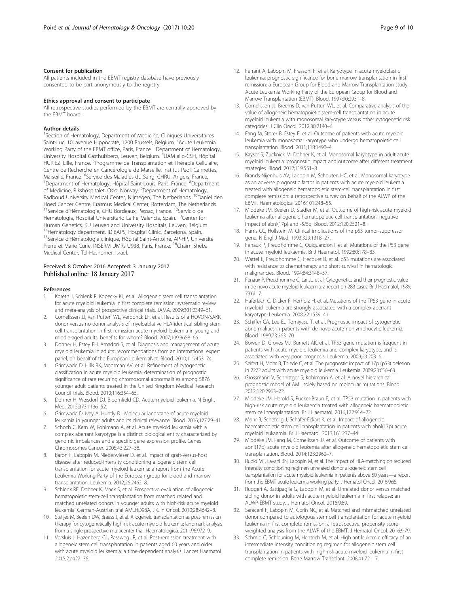### <span id="page-8-0"></span>Consent for publication

All patients included in the EBMT registry database have previously consented to be part anonymously to the registry.

#### Ethics approval and consent to participate

All retrospective studies performed by the EBMT are centrally approved by the EBMT board.

#### Author details

<sup>1</sup>Section of Hematology, Department of Medicine, Cliniques Universitaires Saint-Luc, 10, avenue Hippocrate, 1200 Brussels, Belgium. <sup>2</sup>Acute Leukemia Working Party of the EBMT office, Paris, France. <sup>3</sup>Department of Hematology, University Hospital Gasthuisberg, Leuven, Belgium. <sup>4</sup>UAM allo-CSH, Hôpital HURIEZ, Lille, France. <sup>5</sup> Programme de Transplantation et Thérapie Cellulaire, Centre de Recherche en Cancérologie de Marseille, Institut Paoli Calmettes, Marseille, France. <sup>6</sup>Service des Maladies du Sang, CHRU, Angers, France.<br><sup>7</sup>Denartment of Hematology, Hônital Saint-Louis, Paris, France, <sup>8</sup>Denartr Department of Hematology, Hôpital Saint-Louis, Paris, France. <sup>8</sup>Department of Medicine, Rikshospitalet, Oslo, Norway. <sup>9</sup>Department of Hematology, Radboud University Medical Center, Nijmegen, The Netherlands. <sup>10</sup>Daniel den Hoed Cancer Centre, Erasmus Medical Center, Rotterdam, The Netherlands. <sup>11</sup>Service d'Hématologie, CHU Bordeaux, Pessac, France. <sup>12</sup>Servicio de Hematologia, Hospital Universitario La Fe, Valencia, Spain. <sup>13</sup>Center for Human Genetics, KU Leuven and University Hospitals, Leuven, Belgium. <sup>14</sup>Hematology department, IDIBAPS, Hospital Clinic, Barcelona, Spain. 15Service d'Hématologie clinique, Hôpital Saint-Antoine, AP-HP, Université Pierre et Marie Curie, INSERM UMRs U938, Paris, France. <sup>16</sup>Chaim Sheba Medical Center, Tel-Hashomer, Israel.

# Received: 8 October 2016 Accepted: 3 January 2017 Published online: 18 January 2017

#### References

- 1. Koreth J, Schlenk R, Kopecky KJ, et al. Allogeneic stem cell transplantation for acute myeloid leukemia in first complete remission: systematic review and meta-analysis of prospective clinical trials. JAMA. 2009;301:2349–61.
- 2. Cornelissen JJ, van Putten WL, Verdonck LF, et al. Results of a HOVON/SAKK donor versus no-donor analysis of myeloablative HLA-identical sibling stem cell transplantation in first remission acute myeloid leukemia in young and middle-aged adults: benefits for whom? Blood. 2007;109:3658–66.
- 3. Dohner H, Estey EH, Amadori S, et al. Diagnosis and management of acute myeloid leukemia in adults: recommendations from an international expert panel, on behalf of the European LeukemiaNet. Blood. 2010;115:453–74.
- 4. Grimwade D, Hills RK, Moorman AV, et al. Refinement of cytogenetic classification in acute myeloid leukemia: determination of prognostic significance of rare recurring chromosomal abnormalities among 5876 younger adult patients treated in the United Kingdom Medical Research Council trials. Blood. 2010;116:354–65.
- 5. Dohner H, Weisdorf DJ, Bloomfield CD. Acute myeloid leukemia. N Engl J Med. 2015;373:1136–52.
- 6. Grimwade D, Ivey A, Huntly BJ. Molecular landscape of acute myeloid leukemia in younger adults and its clinical relevance. Blood. 2016;127:29–41.
- 7. Schoch C, Kern W, Kohlmann A, et al. Acute myeloid leukemia with a complex aberrant karyotype is a distinct biological entity characterized by genomic imbalances and a specific gene expression profile. Genes Chromosomes Cancer. 2005;43:227–38.
- 8. Baron F, Labopin M, Niederwieser D, et al. Impact of graft-versus-host disease after reduced-intensity conditioning allogeneic stem cell transplantation for acute myeloid leukemia: a report from the Acute Leukemia Working Party of the European group for blood and marrow transplantation. Leukemia. 2012;26:2462–8.
- Schlenk RF, Dohner K, Mack S, et al. Prospective evaluation of allogeneic hematopoietic stem-cell transplantation from matched related and matched unrelated donors in younger adults with high-risk acute myeloid leukemia: German-Austrian trial AMLHD98A. J Clin Oncol. 2010;28:4642–8.
- 10. Stelljes M, Beelen DW, Braess J, et al. Allogeneic transplantation as post-remission therapy for cytogenetically high-risk acute myeloid leukemia: landmark analysis from a single prospective multicenter trial. Haematologica. 2011;96:972–9.
- 11. Versluis J, Hazenberg CL, Passweg JR, et al. Post-remission treatment with allogeneic stem cell transplantation in patients aged 60 years and older with acute myeloid leukaemia: a time-dependent analysis. Lancet Haematol. 2015;2:e427–36.
- 12. Ferrant A, Labopin M, Frassoni F, et al. Karyotype in acute myeloblastic leukemia: prognostic significance for bone marrow transplantation in first remission: a European Group for Blood and Marrow Transplantation study. Acute Leukemia Working Party of the European Group for Blood and Marrow Transplantation (EBMT). Blood. 1997;90:2931–8.
- 13. Cornelissen JJ, Breems D, van Putten WL, et al. Comparative analysis of the value of allogeneic hematopoietic stem-cell transplantation in acute myeloid leukemia with monosomal karyotype versus other cytogenetic risk categories. J Clin Oncol. 2012;30:2140–6.
- 14. Fang M, Storer B, Estey E, et al. Outcome of patients with acute myeloid leukemia with monosomal karyotype who undergo hematopoietic cell transplantation. Blood. 2011;118:1490–4.
- 15. Kayser S, Zucknick M, Dohner K, et al. Monosomal karyotype in adult acute myeloid leukemia: prognostic impact and outcome after different treatment strategies. Blood. 2012;119:551–8.
- 16. Brands-Nijenhuis AV, Labopin M, Schouten HC, et al. Monosomal karyotype as an adverse prognostic factor in patients with acute myeloid leukemia treated with allogeneic hematopoietic stem-cell transplantation in first complete remission: a retrospective survey on behalf of the ALWP of the EBMT. Haematologica. 2016;101:248–55.
- 17. Middeke JM, Beelen D, Stadler M, et al. Outcome of high-risk acute myeloid leukemia after allogeneic hematopoietic cell transplantation: negative impact of abnl(17p) and -5/5q. Blood. 2012;120:2521–8.
- 18. Harris CC, Hollstein M. Clinical implications of the p53 tumor-suppressor gene. N Engl J Med. 1993;329:1318–27.
- 19. Fenaux P, Preudhomme C, Quiquandon I, et al. Mutations of the P53 gene in acute myeloid leukaemia. Br J Haematol. 1992;80:178–83.
- 20. Wattel E, Preudhomme C, Hecquet B, et al. p53 mutations are associated with resistance to chemotherapy and short survival in hematologic malignancies. Blood. 1994;84:3148–57.
- 21. Fenaux P, Preudhomme C, Lai JL, et al. Cytogenetics and their prognostic value in de novo acute myeloid leukaemia: a report on 283 cases. Br J Haematol. 1989; 73:61–7.
- 22. Haferlach C, Dicker F, Herholz H, et al. Mutations of the TP53 gene in acute myeloid leukemia are strongly associated with a complex aberrant karyotype. Leukemia. 2008;22:1539–41.
- 23. Schiffer CA, Lee EJ, Tomiyasu T, et al. Prognostic impact of cytogenetic abnormalities in patients with de novo acute nonlymphocytic leukemia. Blood. 1989;73:263–70.
- 24. Bowen D, Groves MJ, Burnett AK, et al. TP53 gene mutation is frequent in patients with acute myeloid leukemia and complex karyotype, and is associated with very poor prognosis. Leukemia. 2009;23:203–6.
- 25. Seifert H, Mohr B, Thiede C, et al. The prognostic impact of 17p (p53) deletion in 2272 adults with acute myeloid leukemia. Leukemia. 2009;23:656–63.
- 26. Grossmann V, Schnittger S, Kohlmann A, et al. A novel hierarchical prognostic model of AML solely based on molecular mutations. Blood. 2012;120:2963–72.
- 27. Middeke JM, Herold S, Rucker-Braun E, et al. TP53 mutation in patients with high-risk acute myeloid leukaemia treated with allogeneic haematopoietic stem cell transplantation. Br J Haematol. 2016;172:914–22.
- 28. Mohr B, Schetelig J, Schafer-Eckart K, et al. Impact of allogeneic haematopoietic stem cell transplantation in patients with abnl(17p) acute myeloid leukaemia. Br J Haematol. 2013;161:237–44.
- 29. Middeke JM, Fang M, Cornelissen JJ, et al. Outcome of patients with abnl(17p) acute myeloid leukemia after allogeneic hematopoietic stem cell transplantation. Blood. 2014;123:2960–7.
- 30. Rubio MT, Savani BN, Labopin M, et al. The impact of HLA-matching on reduced intensity conditioning regimen unrelated donor allogeneic stem cell transplantation for acute myeloid leukemia in patients above 50 years—a report from the EBMT acute leukemia working party. J Hematol Oncol. 2016;9:65.
- 31. Ruggeri A, Battipaglia G, Labopin M, et al. Unrelated donor versus matched sibling donor in adults with acute myeloid leukemia in first relapse: an ALWP-EBMT study. J Hematol Oncol. 2016;9:89.
- 32. Saraceni F, Labopin M, Gorin NC, et al. Matched and mismatched unrelated donor compared to autologous stem cell transplantation for acute myeloid leukemia in first complete remission: a retrospective, propensity scoreweighted analysis from the ALWP of the EBMT. J Hematol Oncol. 2016;9:79.
- 33. Schmid C, Schleuning M, Hentrich M, et al. High antileukemic efficacy of an intermediate intensity conditioning regimen for allogeneic stem cell transplantation in patients with high-risk acute myeloid leukemia in first complete remission. Bone Marrow Transplant. 2008;41:721–7.